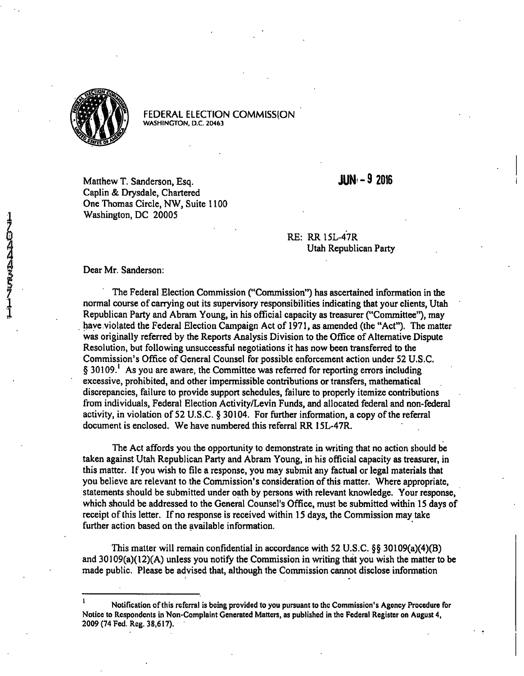

FEDERAL ELECTION COMMISSION **WASHINGTON, D.C. 20463** 

Matthew T. Sanderson, Esq. 32016 Caplin & Drysdale, Chartered One Thomas Circle, NW, Suite 1100 Washington, DC 20005

RE: RR 15L-4'7R Utah Republican Party

## Dear Mr. Sanderson:

The Federal Election Commission ("Commission") has ascertained information in the normal course of carrying out its supervisory responsibilities indicating that your clients, Utah Republican Party and Abram Young, in his official capacity as treasurer ("Committee"), may have violated the Federal Election Campaign Act of 1971, as amended (the "Act"). The matter was originally referred by the Reports Analysis Division to the Office of Alternative Dispute Resolution, but following unsuccessful negotiations it has now been transferred to the Commission's Office of General Counsel for possible enforcement action under 52 U.S.C. § 30109.<sup>1</sup> As you are aware, the Committee was referred for reporting errors including excessive, prohibited, and other impermissible contributions or transfers, mathematical discrepancies, failure to provide support schedules, failure to properly itemize contributions from individuals. Federal Election Activity/Levin Funds, and allocated federal and non-federal activity, in violation of 52 U.S.C. § 30104. For further information, a copy of the referral document is enclosed. We have numbered this referral RR 15L-47R.

The Act affords you the opportunity to demonstrate in writing that no action should be taken against Utah Republican Party and Abram Young, in his official capacity as treasurer, in this matter. If you wish to file a response, you may submit any factual or legal materials that you believe are relevant to the Commission's consideration of this matter. Where appropriate, statements should be submitted under oath by persons with relevant knowledge. Your response, which should be addressed to the General Counsel's Office, must be submitted within 15 days of receipt of this letter. If no response is received within 15 days, the Commission may take further action based on the available information.

This matter will remain confidential in accordance with 52 U.S.C.  $\S$ § 30109(a)(4)(B) and 30109(a)(l2)(A) unless you notify the Commission in writing that you wish the matter to be made public. Please be advised that, although the Commission cannot disclose information

Notification of this referral is being provided to you pursuant to the Commission's Agency Procedure for Notice to Respondents in Non-Complaint Generated Matters, as published in the Federal Register on August 4, 2009 (74 Fed. Reg. 38,617).